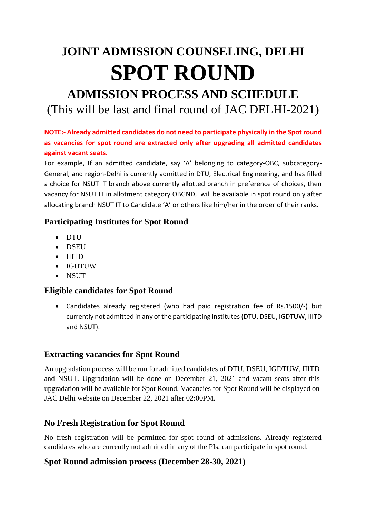# **JOINT ADMISSION COUNSELING, DELHI SPOT ROUND**

# **ADMISSION PROCESS AND SCHEDULE** (This will be last and final round of JAC DELHI-2021)

#### **NOTE:- Already admitted candidates do not need to participate physically in the Spot round as vacancies for spot round are extracted only after upgrading all admitted candidates against vacant seats.**

For example, If an admitted candidate, say 'A' belonging to category-OBC, subcategory-General, and region-Delhi is currently admitted in DTU, Electrical Engineering, and has filled a choice for NSUT IT branch above currently allotted branch in preference of choices, then vacancy for NSUT IT in allotment category OBGND, will be available in spot round only after allocating branch NSUT IT to Candidate 'A' or others like him/her in the order of their ranks.

### **Participating Institutes for Spot Round**

- DTU
- DSEU
- IIITD
- IGDTUW
- NSUT

# **Eligible candidates for Spot Round**

• Candidates already registered (who had paid registration fee of Rs.1500/-) but currently not admitted in any of the participating institutes (DTU, DSEU, IGDTUW, IIITD and NSUT).

# **Extracting vacancies for Spot Round**

An upgradation process will be run for admitted candidates of DTU, DSEU, IGDTUW, IIITD and NSUT. Upgradation will be done on December 21, 2021 and vacant seats after this upgradation will be available for Spot Round. Vacancies for Spot Round will be displayed on JAC Delhi website on December 22, 2021 after 02:00PM.

### **No Fresh Registration for Spot Round**

No fresh registration will be permitted for spot round of admissions. Already registered candidates who are currently not admitted in any of the PIs, can participate in spot round.

### **Spot Round admission process (December 28-30, 2021)**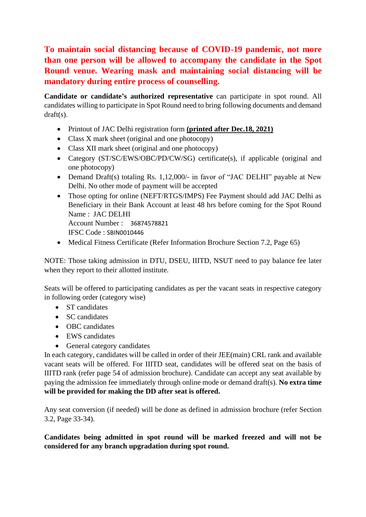**To maintain social distancing because of COVID-19 pandemic, not more than one person will be allowed to accompany the candidate in the Spot Round venue. Wearing mask and maintaining social distancing will be mandatory during entire process of counselling.**

**Candidate or candidate's authorized representative** can participate in spot round. All candidates willing to participate in Spot Round need to bring following documents and demand draft(s).

- Printout of JAC Delhi registration form **(printed after Dec.18, 2021)**
- Class X mark sheet (original and one photocopy)
- Class XII mark sheet (original and one photocopy)
- Category (ST/SC/EWS/OBC/PD/CW/SG) certificate(s), if applicable (original and one photocopy)
- Demand Draft(s) totaling Rs. 1,12,000/- in favor of "JAC DELHI" payable at New Delhi. No other mode of payment will be accepted
- Those opting for online (NEFT/RTGS/IMPS) Fee Payment should add JAC Delhi as Beneficiary in their Bank Account at least 48 hrs before coming for the Spot Round Name : JAC DELHI

Account Number : 36874578821

IFSC Code : SBIN0010446

• Medical Fitness Certificate (Refer Information Brochure Section 7.2, Page 65)

NOTE: Those taking admission in DTU, DSEU, IIITD, NSUT need to pay balance fee later when they report to their allotted institute.

Seats will be offered to participating candidates as per the vacant seats in respective category in following order (category wise)

- ST candidates
- SC candidates
- OBC candidates
- EWS candidates
- General category candidates

In each category, candidates will be called in order of their JEE(main) CRL rank and available vacant seats will be offered. For IIITD seat, candidates will be offered seat on the basis of IIITD rank (refer page 54 of admission brochure). Candidate can accept any seat available by paying the admission fee immediately through online mode or demand draft(s). **No extra time will be provided for making the DD after seat is offered.**

Any seat conversion (if needed) will be done as defined in admission brochure (refer Section 3.2, Page 33-34).

**Candidates being admitted in spot round will be marked freezed and will not be considered for any branch upgradation during spot round.**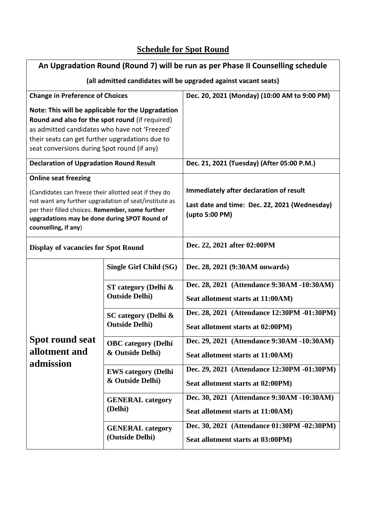# **Schedule for Spot Round**

| An Upgradation Round (Round 7) will be run as per Phase II Counselling schedule                                                                                                                                                                                                                           |                                                   |                                                                                                            |
|-----------------------------------------------------------------------------------------------------------------------------------------------------------------------------------------------------------------------------------------------------------------------------------------------------------|---------------------------------------------------|------------------------------------------------------------------------------------------------------------|
| (all admitted candidates will be upgraded against vacant seats)                                                                                                                                                                                                                                           |                                                   |                                                                                                            |
| <b>Change in Preference of Choices</b>                                                                                                                                                                                                                                                                    |                                                   | Dec. 20, 2021 (Monday) (10:00 AM to 9:00 PM)                                                               |
| Note: This will be applicable for the Upgradation<br>Round and also for the spot round (if required)<br>as admitted candidates who have not 'Freezed'<br>their seats can get further upgradations due to<br>seat conversions during Spot round (if any)<br><b>Declaration of Upgradation Round Result</b> |                                                   | Dec. 21, 2021 (Tuesday) (After 05:00 P.M.)                                                                 |
| <b>Online seat freezing</b><br>(Candidates can freeze their allotted seat if they do<br>not want any further upgradation of seat/institute as<br>per their filled choices. Remember, some further<br>upgradations may be done during SPOT Round of<br>counselling, if any)                                |                                                   | Immediately after declaration of result<br>Last date and time: Dec. 22, 2021 (Wednesday)<br>(upto 5:00 PM) |
| <b>Display of vacancies for Spot Round</b>                                                                                                                                                                                                                                                                |                                                   | Dec. 22, 2021 after 02:00PM                                                                                |
| <b>Spot round seat</b><br>allotment and<br>admission                                                                                                                                                                                                                                                      | Single Girl Child (SG)                            | Dec. 28, 2021 (9:30AM onwards)                                                                             |
|                                                                                                                                                                                                                                                                                                           | ST category (Delhi $\&$<br><b>Outside Delhi</b> ) | Dec. 28, 2021 (Attendance 9:30AM -10:30AM)<br>Seat allotment starts at 11:00AM)                            |
|                                                                                                                                                                                                                                                                                                           | SC category (Delhi &<br><b>Outside Delhi</b> )    | Dec. 28, 2021 (Attendance 12:30PM -01:30PM)<br>Seat allotment starts at 02:00PM)                           |
|                                                                                                                                                                                                                                                                                                           | <b>OBC</b> category (Delhi<br>& Outside Delhi)    | Dec. 29, 2021 (Attendance 9:30AM -10:30AM)<br>Seat allotment starts at 11:00AM)                            |
|                                                                                                                                                                                                                                                                                                           | <b>EWS category (Delhi</b><br>& Outside Delhi)    | Dec. 29, 2021 (Attendance 12:30PM -01:30PM)<br>Seat allotment starts at 02:00PM)                           |
|                                                                                                                                                                                                                                                                                                           | <b>GENERAL</b> category<br>(Delhi)                | Dec. 30, 2021 (Attendance 9:30AM -10:30AM)<br>Seat allotment starts at 11:00AM)                            |
|                                                                                                                                                                                                                                                                                                           | <b>GENERAL</b> category<br>(Outside Delhi)        | Dec. 30, 2021 (Attendance 01:30PM -02:30PM)<br>Seat allotment starts at 03:00PM)                           |